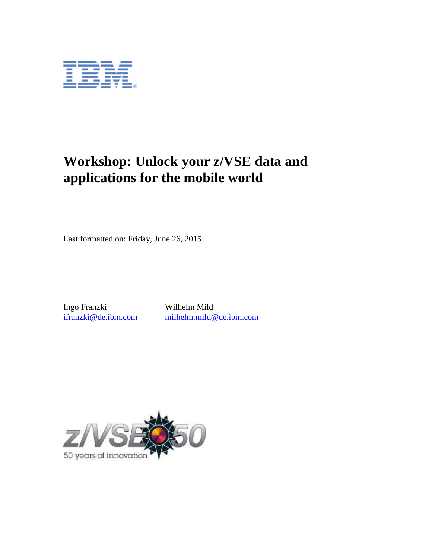

# **Workshop: Unlock your z/VSE data and applications for the mobile world**

Last formatted on: Friday, June 26, 2015

Ingo Franzki Wilhelm Mild<br>
ifranzki@de.ibm.com milhelm.mild@

[ifranzki@de.ibm.com](mailto:ifranzki@de.ibm.com) [milhelm.mild@de.ibm.com](mailto:milhelm.mild@de.ibm.com)

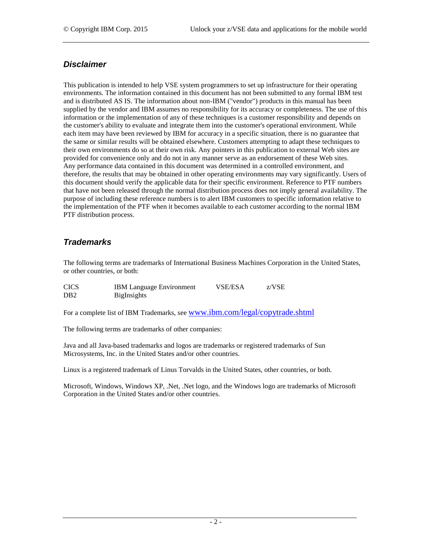## *Disclaimer*

This publication is intended to help VSE system programmers to set up infrastructure for their operating environments. The information contained in this document has not been submitted to any formal IBM test and is distributed AS IS. The information about non-IBM ("vendor") products in this manual has been supplied by the vendor and IBM assumes no responsibility for its accuracy or completeness. The use of this information or the implementation of any of these techniques is a customer responsibility and depends on the customer's ability to evaluate and integrate them into the customer's operational environment. While each item may have been reviewed by IBM for accuracy in a specific situation, there is no guarantee that the same or similar results will be obtained elsewhere. Customers attempting to adapt these techniques to their own environments do so at their own risk. Any pointers in this publication to external Web sites are provided for convenience only and do not in any manner serve as an endorsement of these Web sites. Any performance data contained in this document was determined in a controlled environment, and therefore, the results that may be obtained in other operating environments may vary significantly. Users of this document should verify the applicable data for their specific environment. Reference to PTF numbers that have not been released through the normal distribution process does not imply general availability. The purpose of including these reference numbers is to alert IBM customers to specific information relative to the implementation of the PTF when it becomes available to each customer according to the normal IBM PTF distribution process.

## *Trademarks*

The following terms are trademarks of International Business Machines Corporation in the United States, or other countries, or both:

| <b>CICS</b>      | <b>IBM</b> Language Environment | <b>VSE/ESA</b> | z/VSE |
|------------------|---------------------------------|----------------|-------|
| D <sub>B</sub> 2 | <b>BigInsights</b>              |                |       |

For a complete list of IBM Trademarks, see [www.ibm.com/legal/copytrade.shtml](http://www.ibm.com/legal/copytrade.shtml)

The following terms are trademarks of other companies:

Java and all Java-based trademarks and logos are trademarks or registered trademarks of Sun Microsystems, Inc. in the United States and/or other countries.

Linux is a registered trademark of Linus Torvalds in the United States, other countries, or both.

Microsoft, Windows, Windows XP, .Net, .Net logo, and the Windows logo are trademarks of Microsoft Corporation in the United States and/or other countries.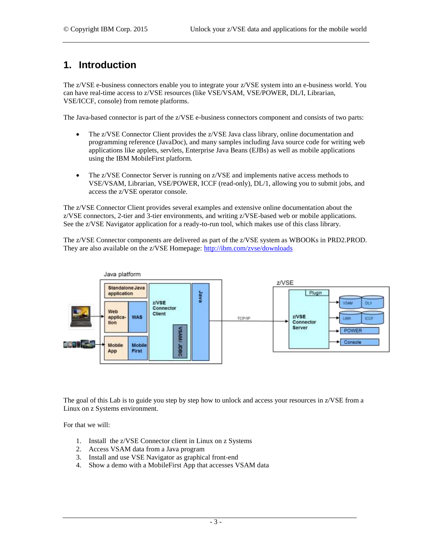## **1. Introduction**

The z/VSE e-business connectors enable you to integrate your z/VSE system into an e-business world. You can have real-time access to z/VSE resources (like VSE/VSAM, VSE/POWER, DL/I, Librarian, VSE/ICCF, console) from remote platforms.

The Java-based connector is part of the z/VSE e-business connectors component and consists of two parts:

- The z/VSE Connector Client provides the z/VSE Java class library, online documentation and programming reference (JavaDoc), and many samples including Java source code for writing web applications like applets, servlets, Enterprise Java Beans (EJBs) as well as mobile applications using the IBM MobileFirst platform.
- The z/VSE Connector Server is running on z/VSE and implements native access methods to VSE/VSAM, Librarian, VSE/POWER, ICCF (read-only), DL/1, allowing you to submit jobs, and access the z/VSE operator console.

The z/VSE Connector Client provides several examples and extensive online documentation about the z/VSE connectors, 2-tier and 3-tier environments, and writing z/VSE-based web or mobile applications. See the z/VSE Navigator application for a ready-to-run tool, which makes use of this class library.

The z/VSE Connector components are delivered as part of the z/VSE system as WBOOKs in PRD2.PROD. They are also available on the z/VSE Homepage:<http://ibm.com/zvse/downloads>



The goal of this Lab is to guide you step by step how to unlock and access your resources in z/VSE from a Linux on z Systems environment.

For that we will:

- 1. Install the z/VSE Connector client in Linux on z Systems
- 2. Access VSAM data from a Java program
- 3. Install and use VSE Navigator as graphical front-end
- 4. Show a demo with a MobileFirst App that accesses VSAM data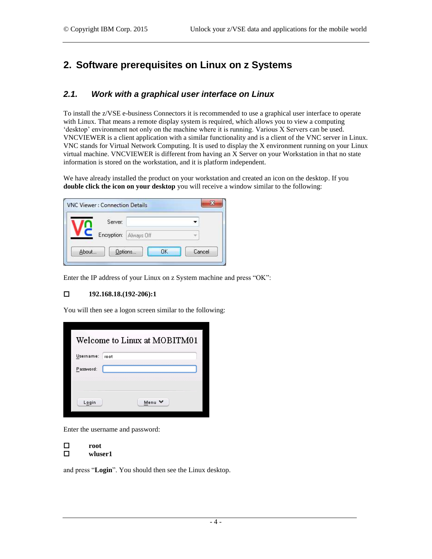## **2. Software prerequisites on Linux on z Systems**

## <span id="page-3-0"></span>*2.1. Work with a graphical user interface on Linux*

To install the z/VSE e-business Connectors it is recommended to use a graphical user interface to operate with Linux. That means a remote display system is required, which allows you to view a computing 'desktop' environment not only on the machine where it is running. Various X Servers can be used. VNCVIEWER is a client application with a similar functionality and is a client of the VNC server in Linux. VNC stands for Virtual Network Computing. It is used to display the X environment running on your Linux virtual machine. VNCVIEWER is different from having an X Server on your Workstation in that no state information is stored on the workstation, and it is platform independent.

We have already installed the product on your workstation and created an icon on the desktop. If you **double click the icon on your desktop** you will receive a window similar to the following:

| Server:     |            |  |
|-------------|------------|--|
| Encryption: | Always Off |  |

Enter the IP address of your Linux on z System machine and press "OK":

#### **192.168.18.(192-206):1**

You will then see a logon screen similar to the following:

|           | Welcome to Linux at MOBITM01 |
|-----------|------------------------------|
| Usemame:  | root                         |
| Password: |                              |
|           |                              |
|           |                              |
| Login     | Menu V                       |
|           |                              |

Enter the username and password:

**root**

**wluser1**

and press "**Login**". You should then see the Linux desktop.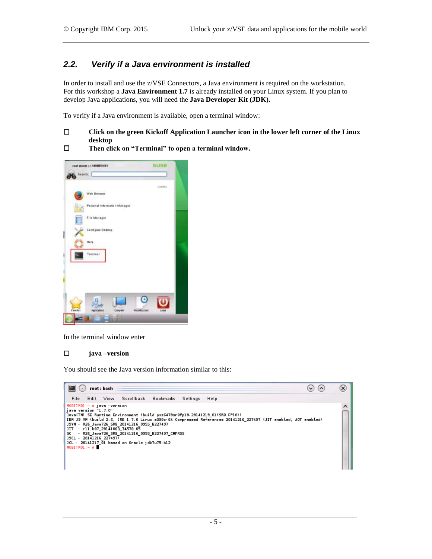## *2.2. Verify if a Java environment is installed*

In order to install and use the z/VSE Connectors, a Java environment is required on the workstation. For this workshop a **Java Environment 1.7** is already installed on your Linux system. If you plan to develop Java applications, you will need the **Java Developer Kit (JDK).**

To verify if a Java environment is available, open a terminal window:

#### **Click on the green Kickoff Application Launcher icon in the lower left corner of the Linux desktop**

**Then click on "Terminal" to open a terminal window.**



In the terminal window enter

#### **java –version**

You should see the Java version information similar to this:

| root: bash                                                                                                                                                                                                                                                                                                                                                                                                                                                                                                                                             | $\checkmark$ |  |
|--------------------------------------------------------------------------------------------------------------------------------------------------------------------------------------------------------------------------------------------------------------------------------------------------------------------------------------------------------------------------------------------------------------------------------------------------------------------------------------------------------------------------------------------------------|--------------|--|
| Scrollback Bookmarks<br>File<br>View<br>Settings<br>Help<br>Edit                                                                                                                                                                                                                                                                                                                                                                                                                                                                                       |              |  |
| $MOBITHOL: - = j$ ava version<br>iava version "1.7.0"<br>Java(TM) SE Runtime Environment (build pxz6470sr8fp10-20141219_01(SR8 FP10))<br>IBM J9 VM (build 2.6, JRE 1.7.0 Linux s390x-64 Compressed References 20141216 227497 (JIT enabled, AOT enabled)<br>J9VM - R26 Java726 SR8 20141216 0955 B227497<br>$-$ r11.607 20141003 74578.05<br>$\overline{\phantom{a}}$ it $\overline{\phantom{a}}$<br>- R26_Java726_SR8_20141216_0955_B227497_CMPRSS<br>GC<br>J9CL - 20141216 227497)<br>JCL - 20141217 01 based on Oracle jdk7u75-b12<br>$MOBIIM01:-x$ |              |  |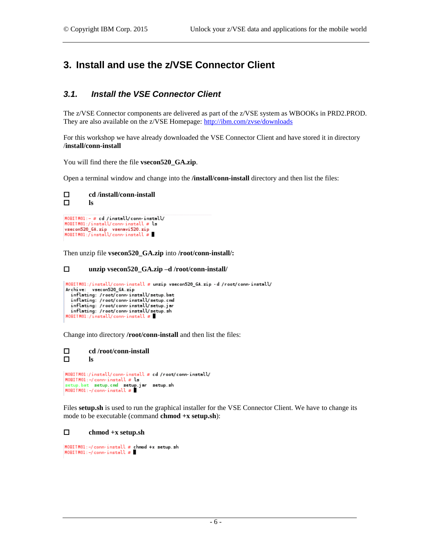## **3. Install and use the z/VSE Connector Client**

### <span id="page-5-0"></span>*3.1. Install the VSE Connector Client*

The z/VSE Connector components are delivered as part of the z/VSE system as WBOOKs in PRD2.PROD. They are also available on the z/VSE Homepage:<http://ibm.com/zvse/downloads>

For this workshop we have already downloaded the VSE Connector Client and have stored it in directory /**install/conn-install**

You will find there the file **vsecon520\_GA.zip**.

Open a terminal window and change into the **/install/conn-install** directory and then list the files:



vsecon520\_GA.zip vsenavi520.zip<br>NOBITM01:/install/conn-install #

Then unzip file **vsecon520\_GA.zip** into **/root/conn-install/:**

```
 unzip vsecon520_GA.zip –d /root/conn-install/
```

```
MOBITM01:/install/conn-install # unzip vsecon520_6A.zip -d /root/conn-install/
MOBITMOI:/install/comministall # unzip vset<br>Archive: vsecon520_6A.zip<br>inflating:/root/comministall/setup.bat<br>inflating:/root/comministall/setup.om<br>inflating:/root/comministall/setup.jar
   inflating: /root/conn-install/setup.sh
MOBITM01:/install/conn-install #
```
Change into directory **/root/conn-install** and then list the files:

```
 cd /root/conn-install
 ls
MOBITM01:/install/conn-install # cd /root/conn-install/
\texttt{MOBIIMOL}:-/conn-install \boldsymbol{x} is
setup.bat setup.cmd setup.jar setup.sh<br>MOBITM01:-/conn-install #
```
Files **setup.sh** is used to run the graphical installer for the VSE Connector Client. We have to change its mode to be executable (command **chmod +x setup.sh**):

#### **chmod +x setup.sh**

```
MOBITM01:-/conn-install # chmod +x setup.sh
MOBITM01:-/conn-install #
```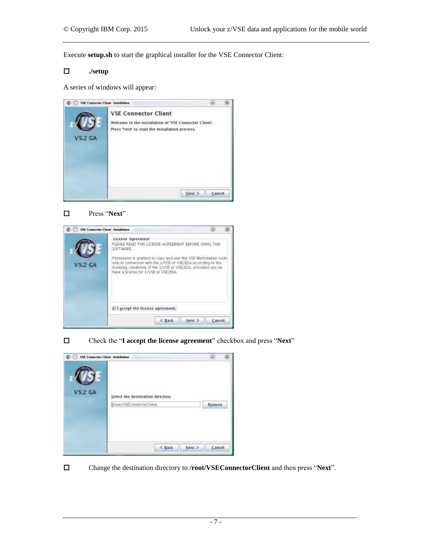Execute **setup.sh** to start the graphical installer for the VSE Connector Client:

#### **./setup**

A series of windows will appear:

| VSE Connector Client - Installation |                                                                                                                                          |        |  |
|-------------------------------------|------------------------------------------------------------------------------------------------------------------------------------------|--------|--|
| <b>V5.2 GA</b>                      | <b>VSE Connector Client</b><br>Welcome to the installation of 'VSE Connector Client'.<br>Press 'Next' to start the installation process. |        |  |
|                                     |                                                                                                                                          | Cancel |  |





Check the "**I accept the license agreement**" checkbox and press "**Next**"



Change the destination directory to **/root/VSEConnectorClient** and then press "**Next**".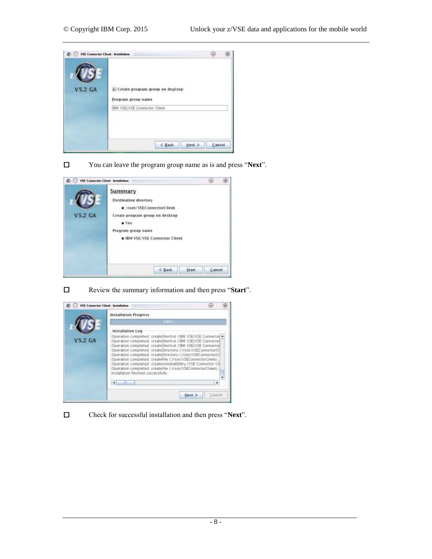

You can leave the program group name as is and press "**Next**".

| <b>VSE Connector Client - Installation</b> | ω                                                                                                                                                                         |        |  |
|--------------------------------------------|---------------------------------------------------------------------------------------------------------------------------------------------------------------------------|--------|--|
| <b>V5.2 GA</b>                             | Summary<br>Destination directory<br>a /root/VSEConnectorClient<br>Create program group on desktop<br>e Yes<br>Program group name<br><b>* IBM VSE/VSE Connector Client</b> |        |  |
|                                            | $<$ Each.<br><b>Start</b>                                                                                                                                                 | Cancel |  |



Review the summary information and then press "**Start**".



Check for successful installation and then press "**Next**".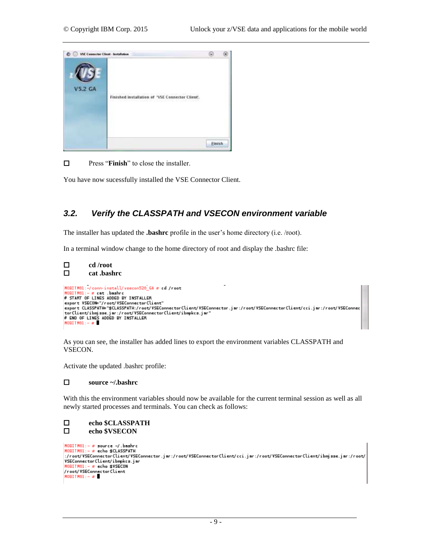

 $\Box$  Press "**Finish**" to close the installer.

You have now sucessfully installed the VSE Connector Client.

### *3.2. Verify the CLASSPATH and VSECON environment variable*

The installer has updated the **.bashrc** profile in the user's home directory (i.e. /root).

In a terminal window change to the home directory of root and display the .bashrc file:

```
 cd /root
 cat .bashrc
|HOBITHO1:-/conn-install/vsecon520_GA # cd /root<br>|HOBITHO1:- # cat .bashrc
# START OF LINES ADDED BY INSTALLER
export VSECON="/root/VSEConnectorClient"<br>export CLASSPATH="$CLASSPATH:/root/VSEConnectorClient/VSEConnector.jar:/root/VSEConnectorClient/cci.jar:/root/VSEConnec
torClient/ibmjsse.jar:/root/VSEConnectorClient/ibmpkcs.jar"
\# END OF LINES ADDED BY INSTALLER<br>HOBITHOL:- #
```
As you can see, the installer has added lines to export the environment variables CLASSPATH and VSECON.

Activate the updated .bashrc profile:

#### **source ~/.bashrc**

With this the environment variables should now be available for the current terminal session as well as all newly started processes and terminals. You can check as follows:

```
 echo $CLASSPATH
        echo $VSECONH OBITH01:- \bar{x} source -/.bashrc
```

```
MOBITM01:- # echo $CLASSPATH
ver not/VSEConnectorClient/VSEConnector.jar:/root/VSEConnectorClient/cci.jar:/root/VSEConnectorClient/ibmjsse.jar:/root/
VSEConnectorClient/ibmpkcs.jar
MOBITM01: - # echo $VSECON
/root/VSEConnectorClient
MOBITM01:-\pi
```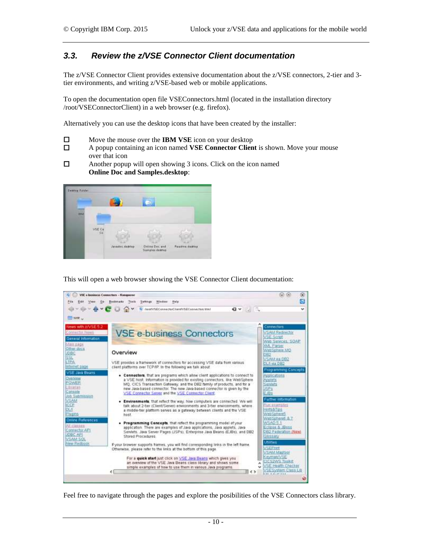### *3.3. Review the z/VSE Connector Client documentation*

The z/VSE Connector Client provides extensive documentation about the z/VSE connectors, 2-tier and 3 tier environments, and writing z/VSE-based web or mobile applications.

To open the documentation open file VSEConnectors.html (located in the installation directory /root/VSEConnectorClient) in a web browser (e.g. firefox).

Alternatively you can use the desktop icons that have been created by the installer:

- $\Box$  Move the mouse over the **IBM VSE** icon on your desktop
- A popup containing an icon named **VSE Connector Client** is shown. Move your mouse over that icon
- $\Box$  Another popup will open showing 3 icons. Click on the icon named **Online Doc and Samples.desktop**:



This will open a web browser showing the VSE Connector Client documentation:



Feel free to navigate through the pages and explore the posibilities of the VSE Connectors class library.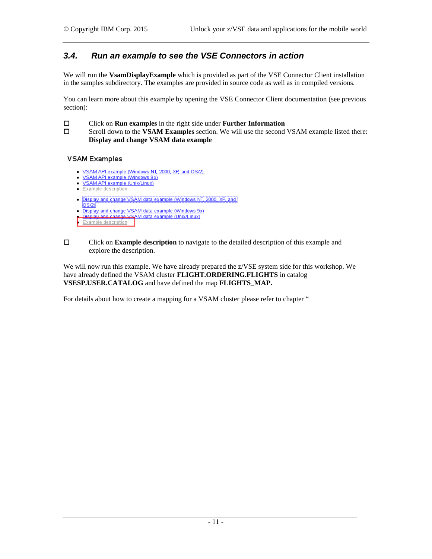### <span id="page-10-0"></span>*3.4. Run an example to see the VSE Connectors in action*

We will run the **VsamDisplayExample** which is provided as part of the VSE Connector Client installation in the samples subdirectory. The examples are provided in source code as well as in compiled versions.

You can learn more about this example by opening the VSE Connector Client documentation (see previous section):

Click on **Run examples** in the right side under **Further Information**

 Scroll down to the **VSAM Examples** section. We will use the second VSAM example listed there: **Display and change VSAM data example**

#### **VSAM Examples**

- . VSAM API example (Windows NT, 2000, XP, and OS/2)
- SAM API example (Windows 9x) Sample (Unix/Linux)
- · Example description
- 
- . Display and change VSAM data example (Windows NT, 2000, XP, and
- OS/2)<br>• Display and change VSAM data example (Windows 9x)
- lisplay and change VSAM data example (Unix/Linux)
- Example description

 Click on **Example description** to navigate to the detailed description of this example and explore the description.

We will now run this example. We have already prepared the z/VSE system side for this workshop. We have already defined the VSAM cluster **FLIGHT.ORDERING.FLIGHTS** in catalog **VSESP.USER.CATALOG** and have defined the map **FLIGHTS\_MAP.** 

For details about how to create a mapping for a VSAM cluster please refer to chapter "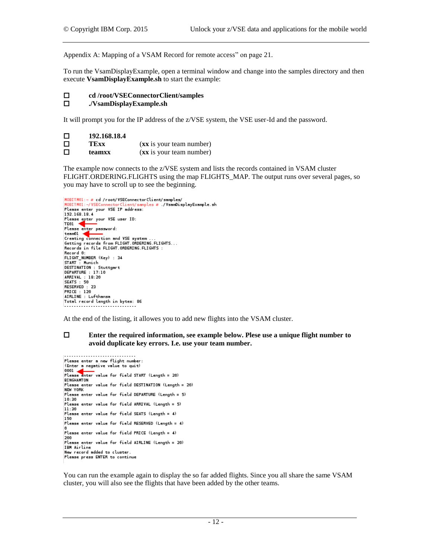[Appendix A: Mapping of a VSAM Record for remote access"](#page-19-0) on page [21.](#page-19-0)

To run the VsamDisplayExample, open a terminal window and change into the samples directory and then execute **VsamDisplayExample.sh** to start the example:

#### **cd /root/VSEConnectorClient/samples**

#### **./VsamDisplayExample.sh**

It will prompt you for the IP address of the z/VSE system, the VSE user-Id and the password.

| $\Box$ | 192.168.18.4 |                          |
|--------|--------------|--------------------------|
| $\Box$ | TExx         | (xx is your team number) |
| $\Box$ | teamxx       | (xx is your team number) |

The example now connects to the z/VSE system and lists the records contained in VSAM cluster FLIGHT.ORDERING.FLIGHTS using the map FLIGHTS MAP. The output runs over several pages, so you may have to scroll up to see the beginning.

```
MOBITM01:- # cd /root/VSEConnectorClient/samples/
 MORITMOL: - / VSECo
                                                    ent/samples # /VsamDisplayExample.sh
Please enter your VSE IP address:
Please enter your YSE IP addre<br>192.168.18.4<br>Please enter your YSE user ID:<br>TEO1<br>Please enter password:
team Ol Connection<br>Connection and VSE system<br>Cetting caseds from EliGHT ARDERI
Setting records from FLIGHT.ORDERING.FLIGHTS...<br>Records in file FLIGHT.ORDERING.FLIGHTS :
Necord 0:<br>FLIGHT_NUMBER (Key) : 34<br>START : Munich<br>DESTINATION : Stuttgart<br>DESTINATION : Stuttgart<br>ARRIVAL : 18:20<br>ARRIVAL : 18:20<br>SEATS : 50
SEATS : 50
 RESERVED : 23
PRICE : 120<br>AIRLINE : Lufthansa
Total record length in bytes: 86
```
At the end of the listing, it allowes you to add new flights into the VSAM cluster.

#### **Enter the required information, see example below. Plese use a unique flight number to avoid duplicate key errors. I.e. use your team number.**

```
. . . . . . . . . . . . . . . . . .
Please enter a new flight number
(Enter a negative value to quit)
CONTRACT A REGISTER WALKER COMMUNIST<br>Please enter value for field START (Length = 20)<br>RINGHAMTON
BINGHANTON
BINGHAMION<br>Please enter value for field DESTINATION (Length = 20)<br>NEW YORK
nce<br>Please enter value for field DEPARTURE (Length = 5)<br>10:30
Please enter value for field ARRIVAL (Length = 5)
11:30Please enter value for field SEATS (Length = 4)
150
Please enter value for field RESERVED (Length = 4)
Please enter value for field PRICE (Length = 4)
200
Please enter value for field AIRLINE (Length = 20)
IBM Airline
New record added to cluster
Please press ENTER to continue
```
You can run the example again to display the so far added flights. Since you all share the same VSAM cluster, you will also see the flights that have been added by the other teams.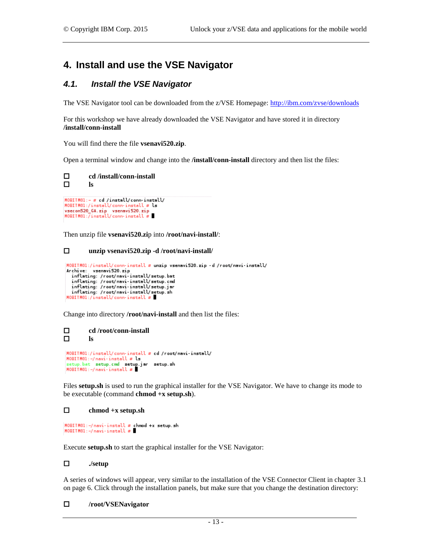## **4. Install and use the VSE Navigator**

### *4.1. Install the VSE Navigator*

The VSE Navigator tool can be downloaded from the z/VSE Homepage:<http://ibm.com/zvse/downloads>

For this workshop we have already downloaded the VSE Navigator and have stored it in directory **/install/conn-install**

You will find there the file **vsenavi520.zip**.

Open a terminal window and change into the **/install/conn-install** directory and then list the files:



 $\texttt{HOBITMOL}:\texttt{/install/conn-install} \neq \texttt{ls}$ vsecon520\_GA.zip vsenavi520.zip<br>MOBITM01:/install/conn-install #

Then unzip file **vsenavi520.zi**p into **/root/navi-install/**:

#### **unzip vsenavi520.zip -d /root/navi-install/**

```
MOBITM01:/install/conn-install # unzip vsenavi520.zip -d /root/navi-install/
Archive: vsenavi520.zip
 inflating: /root/navi-install/setup.bat
 inflating: /root/navi-install/setup.cmd
 inflating: /root/navi-install/setup.jar
 inflating: /root/navi-install/setup.sh
MOBITM01:/install/conn-install #
```
Change into directory **/root/navi-install** and then list the files:

```
 cd /root/conn-install
 ls
 MOBITM01:/install/conn-install # cd /root/navi-install/
 MOBITM01:-/navi-install # ls
HOBITHOI:-/navi-install# Ls<br>setup.bat setup.cmd setup.jar setup.sh<br>HOBITHOI:-/navi-install#
```
Files **setup.sh** is used to run the graphical installer for the VSE Navigator. We have to change its mode to be executable (command **chmod +x setup.sh**).

#### **chmod +x setup.sh**

```
MOBITM01:-/navi-install # chmod +x setup.sh
H OBITM01:-/navi-install x
```
Execute **setup.sh** to start the graphical installer for the VSE Navigator:

#### **./setup**

A series of windows will appear, very similar to the installation of the VSE Connector Client in chapter [3.1](#page-5-0) on pag[e 6.](#page-5-0) Click through the installation panels, but make sure that you change the destination directory:

#### **/root/VSENavigator**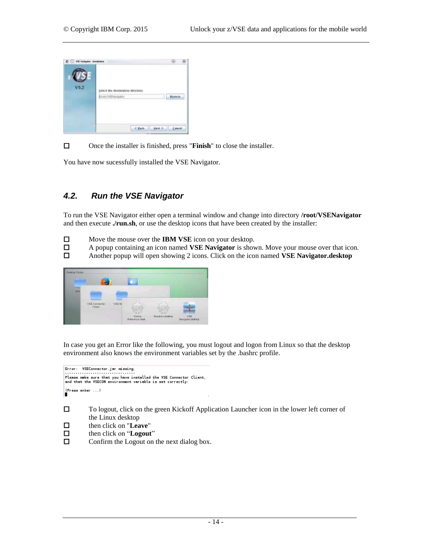

□ Once the installer is finished, press "**Finish**" to close the installer.

You have now sucessfully installed the VSE Navigator.

## *4.2. Run the VSE Navigator*

To run the VSE Navigator either open a terminal window and change into directory **/root/VSENavigator** and then execute **./run.sh**, or use the desktop icons that have been created by the installer:

- Move the mouse over the **IBM VSE** icon on your desktop.
- A popup containing an icon named **VSE Navigator** is shown. Move your mouse over that icon.
- Another popup will open showing 2 icons. Click on the icon named **VSE Navigator.desktop**



In case you get an Error like the following, you must logout and logon from Linux so that the desktop environment also knows the environment variables set by the .bashrc profile.

Error: VSEConnector.jar missing.<br>..................................  $(Press enter ...)$ 

 To logout, click on the green Kickoff Application Launcher icon in the lower left corner of the Linux desktop

- then click on "**Leave**"
- then click on "**Logout**"
- $\Box$  Confirm the Logout on the next dialog box.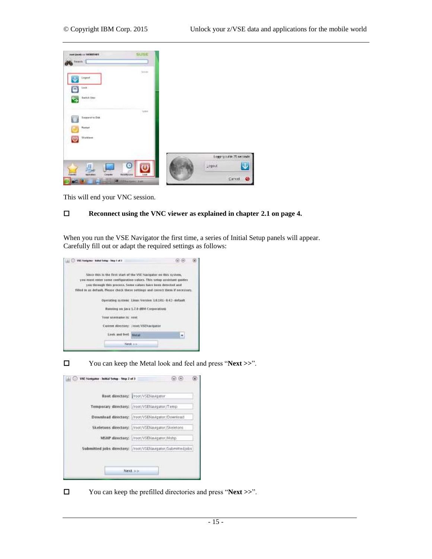

This will end your VNC session.

#### **Reconnect using the VNC viewer as explained in chapter [2.1](#page-3-0) on pag[e 4.](#page-3-0)**

When you run the VSE Navigator the first time, a series of Initial Setup panels will appear. Carefully fill out or adapt the required settings as follows:



You can keep the Metal look and feel and press "**Next >>**".

| <b>VSE Navigator - Initial Setup - Step 2 of 3</b>         |
|------------------------------------------------------------|
| Root directory:   root/VSEHavigator                        |
| Temporary directory: //root/VSENavigator/Temp              |
| Download directory: /root/VSENavigator/Download            |
| Skeletons directory: /root/VSEI/avigator/Skeletons         |
| MSHP directory: /root/VSENavigator/Mshp                    |
| Submitted jobs directory: /root/VSENavigator/Submittedjobs |
|                                                            |
| Next >>                                                    |
|                                                            |

You can keep the prefilled directories and press "**Next >>**".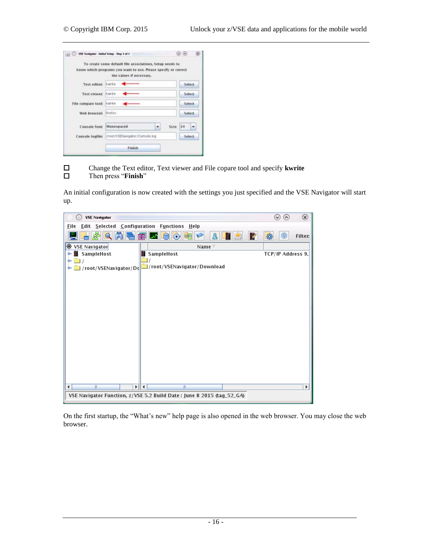|                   | To create some default file associations, Setup needs to<br>know which programs you want to use. Please specify or correct.<br>the values if necessary. |         |
|-------------------|---------------------------------------------------------------------------------------------------------------------------------------------------------|---------|
| Text editor:      | <b>KWEE</b>                                                                                                                                             | Select  |
| Text viewer.      | <b>KWTE</b>                                                                                                                                             | Select  |
| File compare took | <b>IVWTHE</b>                                                                                                                                           | Select  |
| Web browser:      | firefox.                                                                                                                                                | Select  |
| Console Tont:     | Monospaced<br>Size:<br>٠                                                                                                                                | 34<br>٠ |
| Console logfiler  | /root/VSENavigator/Console.log                                                                                                                          | Select  |



 Change the Text editor, Text viewer and File copare tool and specify **kwrite** Then press "**Finish**"

An initial configuration is now created with the settings you just specified and the VSE Navigator will start up.



On the first startup, the "What's new" help page is also opened in the web browser. You may close the web browser.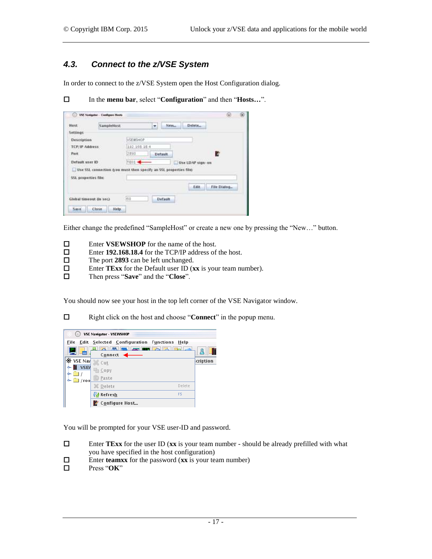## *4.3. Connect to the z/VSE System*

In order to connect to the z/VSE System open the Host Configuration dialog.

In the **menu bar**, select "**Configuration**" and then "**Hosts…**".

| Đ.                                                               | VSE Navigator - Combiguos Hosts |              |          |                  | Q           | œ |
|------------------------------------------------------------------|---------------------------------|--------------|----------|------------------|-------------|---|
| Host:                                                            | SampleHost                      |              | ÷        | Delete<br>New    |             |   |
| Settings                                                         |                                 |              |          |                  |             |   |
| Description                                                      |                                 | VSEWSHOP     |          |                  |             |   |
| TCP/IP Address                                                   |                                 | 192.168.18.4 |          |                  |             |   |
| Part.                                                            |                                 | 2893         | Detault. |                  | R           |   |
| Default user ID                                                  |                                 | TE01 +       |          | Use LDAP sign-on |             |   |
| Use SSL connection gou must then specify an SSL properties file) |                                 |              |          |                  |             |   |
| <b>SSL properties file:</b>                                      |                                 |              |          |                  |             |   |
|                                                                  |                                 |              |          | Edit             | File Dialog |   |
| Global timeout dn sec)                                           |                                 | 60           | Distault |                  |             |   |
| Sav e<br>Close                                                   | Help.                           |              |          |                  |             |   |

Either change the predefined "SampleHost" or create a new one by pressing the "New…" button.

- **□** Enter **VSEWSHOP** for the name of the host.<br>□ Enter 192.168.18.4 for the TCP/IP address of
- □ Enter 192.168.18.4 for the TCP/IP address of the host.<br>□ The port 2893 can be left unchanged.
- The port 2893 can be left unchanged.<br>□ Enter TExx for the Default user ID (x
- Enter **TExx** for the Default user ID (**xx** is your team number).
- Then press "**Save**" and the "**Close**".

You should now see your host in the top left corner of the VSE Navigator window.

Right click on the host and choose "**Connect**" in the popup menu.



You will be prompted for your VSE user-ID and password.

- Enter **TExx** for the user ID (**xx** is your team number should be already prefilled with what you have specified in the host configuration)
- Enter **teamxx** for the password ( $\mathbf{x} \times \mathbf{x}$  is your team number)<br>  $\Box$  Press "OK"
- Press "**OK**"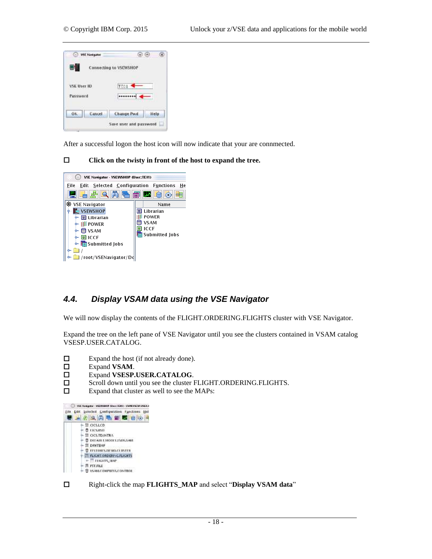

After a successful logon the host icon will now indicate that your are connmected.

#### **Click on the twisty in front of the host to expand the tree.**



### *4.4. Display VSAM data using the VSE Navigator*

We will now display the contents of the FLIGHT.ORDERING.FLIGHTS cluster with VSE Navigator.

Expand the tree on the left pane of VSE Navigator until you see the clusters contained in VSAM catalog VSESP.USER.CATALOG.

- Expand the host (if not already done).
- Expand **VSAM**.
- Expand **VSESP.USER.CATALOG**.
- □ Scroll down until you see the cluster FLIGHT.ORDERING.FLIGHTS.
- $\square$  Expand that cluster as well to see the MAPs:



Right-click the map **FLIGHTS\_MAP** and select "**Display VSAM data**"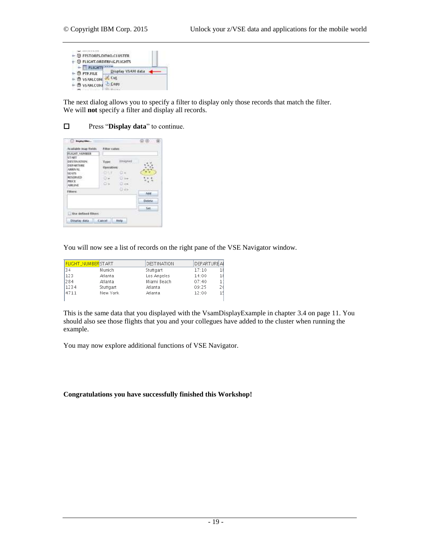| ► B FESTORES.DEMO.CLUSTER             |                          |
|---------------------------------------|--------------------------|
| <b>P- O FLIGHT.ORDERING.FLIGHTS</b>   |                          |
| $ \overline{\mathsf{H}}$ FLIGHT       | <b>Display VSAM data</b> |
| $- 10.$ PTF.FILE<br><b>D</b> VSAM.COM | Eut                      |
| VSAM.CON                              | <b>Copy</b>              |
|                                       |                          |

The next dialog allows you to specify a filter to display only those records that match the filter. We will **not** specify a filter and display all records.

#### Press "**Display data**" to continue.

| Display Dec.<br>Available map fields.                                                                                           | Fitter Value:                     |                          |               |
|---------------------------------------------------------------------------------------------------------------------------------|-----------------------------------|--------------------------|---------------|
| <b>FLIGHT, NUMBER</b>                                                                                                           |                                   |                          |               |
| START<br>DESTRATION:<br>DEPARTURE<br><b>ARRIVAL</b><br><b>SEATS</b><br><b>RESERVED</b><br>PRICE<br><b>ABLINE</b><br>Linkykwater | Type:<br><b>Operation:</b><br>OS. | <b>STRINGER</b><br>Dice. |               |
| <b>Filteric</b>                                                                                                                 |                                   | O ex                     | Ant           |
|                                                                                                                                 |                                   |                          | <b>Detete</b> |
| Use defined filters                                                                                                             |                                   |                          | $341 -$       |
|                                                                                                                                 |                                   |                          |               |
| Disation data                                                                                                                   | Cancel                            | <b>Help</b>              |               |

You will now see a list of records on the right pane of the VSE Navigator window.

|      | <b>FLIGHT_NUMBERSTART</b> | DESTINATION | <b>DEPARTURE AI</b> |  |
|------|---------------------------|-------------|---------------------|--|
| 34   | Munich                    | Stuttgart   | 17:10               |  |
| 123  | Atlanta                   | Los Angeles | 14:00               |  |
| 284  | Atlanta                   | Miami Beach | 07:40               |  |
| 1234 | Stuttgart                 | Atlanta     | 09:25               |  |
| 4711 | New York                  | Atlanta     | 12:00               |  |
|      |                           |             |                     |  |

This is the same data that you displayed with the VsamDisplayExample in chapter [3.4](#page-10-0) on pag[e 11.](#page-10-0) You should also see those flights that you and your collegues have added to the cluster when running the example.

You may now explore additional functions of VSE Navigator.

#### **Congratulations you have successfully finished this Workshop!**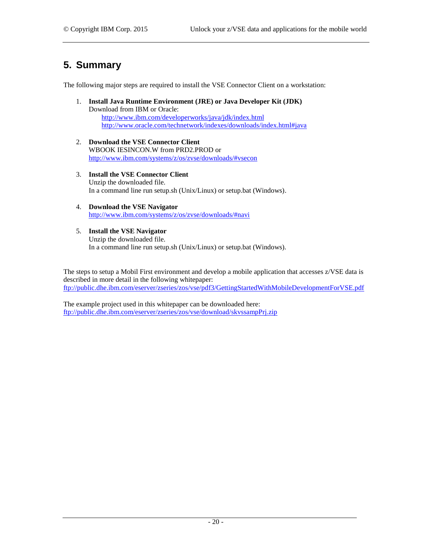## **5. Summary**

The following major steps are required to install the VSE Connector Client on a workstation:

- 1. **Install Java Runtime Environment (JRE) or Java Developer Kit (JDK)** Download from IBM or Oracle: <http://www.ibm.com/developerworks/java/jdk/index.html> <http://www.oracle.com/technetwork/indexes/downloads/index.html#java>
- 2. **Download the VSE Connector Client** WBOOK IESINCON.W from PRD2.PROD or <http://www.ibm.com/systems/z/os/zvse/downloads/#vsecon>
- 3. **Install the VSE Connector Client** Unzip the downloaded file. In a command line run setup.sh (Unix/Linux) or setup.bat (Windows).
- 4. **Download the VSE Navigator** <http://www.ibm.com/systems/z/os/zvse/downloads/#navi>
- 5. **Install the VSE Navigator** Unzip the downloaded file. In a command line run setup.sh (Unix/Linux) or setup.bat (Windows).

The steps to setup a Mobil First environment and develop a mobile application that accesses z/VSE data is described in more detail in the following whitepaper: <ftp://public.dhe.ibm.com/eserver/zseries/zos/vse/pdf3/GettingStartedWithMobileDevelopmentForVSE.pdf>

<span id="page-19-0"></span>The example project used in this whitepaper can be downloaded here: <ftp://public.dhe.ibm.com/eserver/zseries/zos/vse/download/skvssampPrj.zip>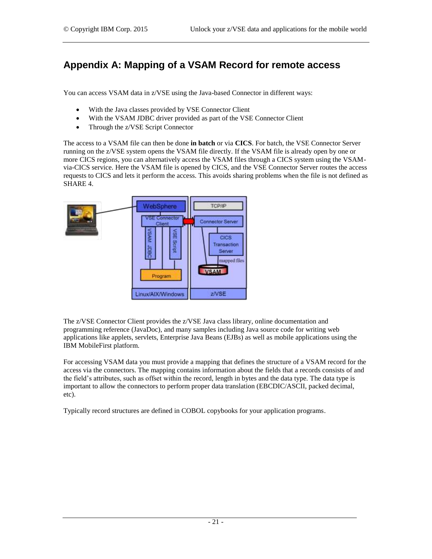## **Appendix A: Mapping of a VSAM Record for remote access**

You can access VSAM data in z/VSE using the Java-based Connector in different ways:

- With the Java classes provided by VSE Connector Client
- With the VSAM JDBC driver provided as part of the VSE Connector Client
- Through the z/VSE Script Connector

The access to a VSAM file can then be done **in batch** or via **CICS**. For batch, the VSE Connector Server running on the z/VSE system opens the VSAM file directly. If the VSAM file is already open by one or more CICS regions, you can alternatively access the VSAM files through a CICS system using the VSAMvia-CICS service. Here the VSAM file is opened by CICS, and the VSE Connector Server routes the access requests to CICS and lets it perform the access. This avoids sharing problems when the file is not defined as SHARE 4.



The z/VSE Connector Client provides the z/VSE Java class library, online documentation and programming reference (JavaDoc), and many samples including Java source code for writing web applications like applets, servlets, Enterprise Java Beans (EJBs) as well as mobile applications using the IBM MobileFirst platform.

For accessing VSAM data you must provide a mapping that defines the structure of a VSAM record for the access via the connectors. The mapping contains information about the fields that a records consists of and the field's attributes, such as offset within the record, length in bytes and the data type. The data type is important to allow the connectors to perform proper data translation (EBCDIC/ASCII, packed decimal, etc).

Typically record structures are defined in COBOL copybooks for your application programs.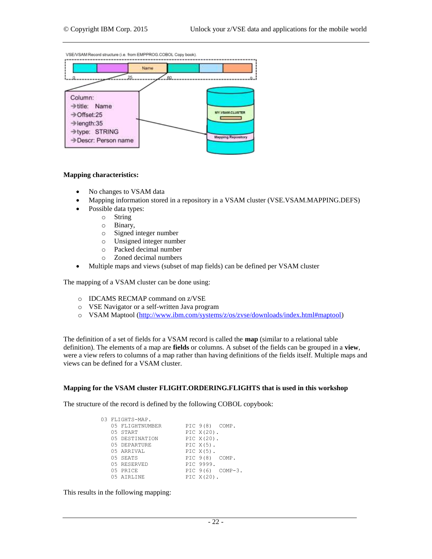VSE/VSAM Record structure (i.e. from EMPPROG.COBOL Copy book).



#### **Mapping characteristics:**

- No changes to VSAM data
- Mapping information stored in a repository in a VSAM cluster (VSE.VSAM.MAPPING.DEFS)
- Possible data types:
	- o String
	- o Binary,
	- o Signed integer number
	- o Unsigned integer number
	- o Packed decimal number
	- o Zoned decimal numbers
- Multiple maps and views (subset of map fields) can be defined per VSAM cluster

The mapping of a VSAM cluster can be done using:

- o IDCAMS RECMAP command on z/VSE
- o VSE Navigator or a self-written Java program
- o VSAM Maptool [\(http://www.ibm.com/systems/z/os/zvse/downloads/index.html#maptool\)](http://www.ibm.com/systems/z/os/zvse/downloads/index.html#maptool)

The definition of a set of fields for a VSAM record is called the **map** (similar to a relational table definition). The elements of a map are **fields** or columns. A subset of the fields can be grouped in a **view**, were a view refers to columns of a map rather than having definitions of the fields itself. Multiple maps and views can be defined for a VSAM cluster.

#### **Mapping for the VSAM cluster FLIGHT.ORDERING.FLIGHTS that is used in this workshop**

The structure of the record is defined by the following COBOL copybook:

|  | 03 FLIGHTS-MAP. |                |                  |
|--|-----------------|----------------|------------------|
|  | 05 FLIGHTNUMBER | PIC 9(8) COMP. |                  |
|  | 05 START        | PIC $X(20)$ .  |                  |
|  | 05 DESTINATION  | PIC $X(20)$ .  |                  |
|  | 05 DEPARTURE    | PIC $X(5)$ .   |                  |
|  | 05 ARRIVAL      | PIC $X(5)$ .   |                  |
|  | 05 SEATS        | PIC 9(8) COMP. |                  |
|  | 05 RESERVED     | PIC 9999.      |                  |
|  | 05 PRICE        |                | PIC 9(6) COMP-3. |
|  | 05 AIRLINE      | PIC $X(20)$ .  |                  |

This results in the following mapping: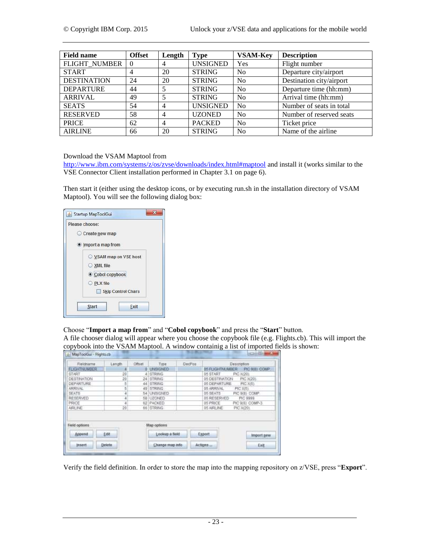| <b>Field name</b>    | <b>Offset</b> | Length         | Type            | <b>VSAM-Key</b> | <b>Description</b>       |
|----------------------|---------------|----------------|-----------------|-----------------|--------------------------|
| <b>FLIGHT NUMBER</b> | $\Omega$      | 4              | <b>UNSIGNED</b> | Yes             | Flight number            |
| <b>START</b>         | 4             | 20             | <b>STRING</b>   | N <sub>0</sub>  | Departure city/airport   |
| <b>DESTINATION</b>   | 24            | 20             | <b>STRING</b>   | No              | Destination city/airport |
| <b>DEPARTURE</b>     | 44            |                | <b>STRING</b>   | N <sub>0</sub>  | Departure time (hh:mm)   |
| ARRIVAL              | 49            |                | <b>STRING</b>   | N <sub>0</sub>  | Arrival time (hh:mm)     |
| <b>SEATS</b>         | 54            | 4              | <b>UNSIGNED</b> | N <sub>0</sub>  | Number of seats in total |
| <b>RESERVED</b>      | 58            | $\overline{4}$ | <b>UZONED</b>   | N <sub>0</sub>  | Number of reserved seats |
| <b>PRICE</b>         | 62            | $\overline{4}$ | <b>PACKED</b>   | N <sub>0</sub>  | Ticket price             |
| <b>AIRLINE</b>       | 66            | 20             | <b>STRING</b>   | N <sub>0</sub>  | Name of the airline      |

Download the VSAM Maptool from

<http://www.ibm.com/systems/z/os/zvse/downloads/index.html#maptool> and install it (works similar to the VSE Connector Client installation performed in Chapter [3.1](#page-5-0) on pag[e 6\)](#page-5-0).

Then start it (either using the desktop icons, or by executing run.sh in the installation directory of VSAM Maptool). You will see the following dialog box:

| Please choose:                       |
|--------------------------------------|
| Create new map                       |
| lmport a map from                    |
| ◯ VSAM map on VSE host<br>○ XML file |
| Cobol copybook<br>O PLX file         |
| <b>Skip Control Chars</b>            |
| <b>Start</b><br>Exit                 |

Choose "**Import a map from**" and "**Cobol copybook**" and press the "**Start**" button.

A file chooser dialog will appear where you choose the copybook file (e.g. Flights.cb). This will import the copybook into the VSAM Maptool. A window containig a list of imported fields is shown:

| Fieldriame          | Longh   | Officet | Type               | DecPos: |                              | Description     |
|---------------------|---------|---------|--------------------|---------|------------------------------|-----------------|
| <b>FLIGHTNUMBER</b> |         |         | <b>D LINSIGNED</b> |         | <b><i>D5 FUGHTMANDER</i></b> | PIC BIBI COMP   |
| <b>START</b>        | 20      |         | 4 STRING           |         | 05 START                     | PIC X(20).      |
| <b>DESTINATION</b>  | 20      |         | 24 STRING          |         | 05 DESTINATION               | PIC X(20).      |
| DEPARTURE           | в       |         | 44 STRING          |         | 05 DEPARTURE                 | <b>FIC X(5)</b> |
| ARRIVAL:            |         |         | 49 STRING          |         | 05 ARRIVAL                   | PIC XIST        |
| <b>SEATS</b>        |         |         | 54 UNISIGNED       |         | 05 SEATS                     | PIC 9(8) COMP.  |
| RESERVED            |         |         | 58 UZONED          |         | 05 RESERVED                  | PIC 9999        |
| PRICE               |         |         | 62 PACKED          |         | 05 PRICE                     | PIC 9(6) COMP-3 |
| AIRC INE            | $^{20}$ |         | 66 STRING          |         | 05 AIRLINE                   | PIC X(20).      |
| Field options       |         |         | Map options        |         |                              |                 |
| Append              | Edit    |         | Lookup a field     |         | Export                       | Import new      |
| <b>Insert</b>       | Dekete. |         | Change map info    |         | Actigns                      | Exit.           |

Verify the field definition. In order to store the map into the mapping repository on z/VSE, press "**Export**".